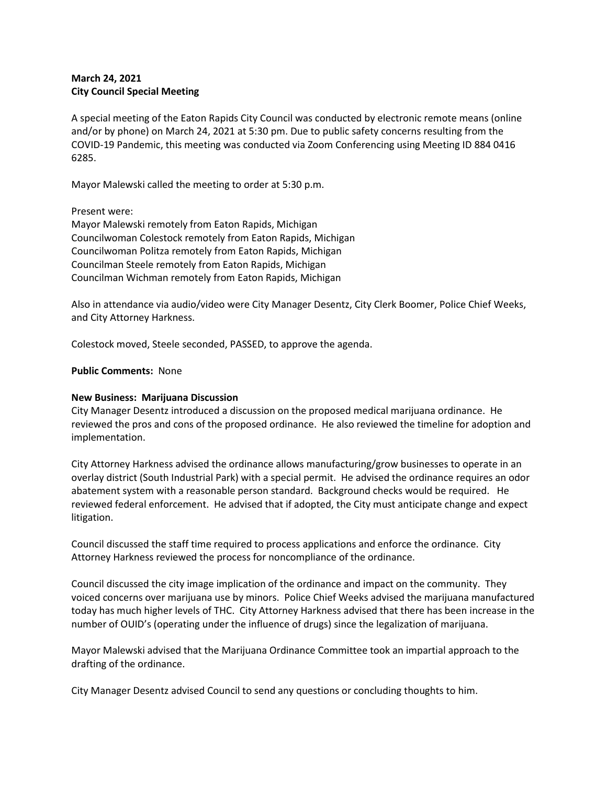## **March 24, 2021 City Council Special Meeting**

A special meeting of the Eaton Rapids City Council was conducted by electronic remote means (online and/or by phone) on March 24, 2021 at 5:30 pm. Due to public safety concerns resulting from the COVID-19 Pandemic, this meeting was conducted via Zoom Conferencing using Meeting ID 884 0416 6285.

Mayor Malewski called the meeting to order at 5:30 p.m.

Present were:

Mayor Malewski remotely from Eaton Rapids, Michigan Councilwoman Colestock remotely from Eaton Rapids, Michigan Councilwoman Politza remotely from Eaton Rapids, Michigan Councilman Steele remotely from Eaton Rapids, Michigan Councilman Wichman remotely from Eaton Rapids, Michigan

Also in attendance via audio/video were City Manager Desentz, City Clerk Boomer, Police Chief Weeks, and City Attorney Harkness.

Colestock moved, Steele seconded, PASSED, to approve the agenda.

## **Public Comments:** None

## **New Business: Marijuana Discussion**

City Manager Desentz introduced a discussion on the proposed medical marijuana ordinance. He reviewed the pros and cons of the proposed ordinance. He also reviewed the timeline for adoption and implementation.

City Attorney Harkness advised the ordinance allows manufacturing/grow businesses to operate in an overlay district (South Industrial Park) with a special permit. He advised the ordinance requires an odor abatement system with a reasonable person standard. Background checks would be required. He reviewed federal enforcement. He advised that if adopted, the City must anticipate change and expect litigation.

Council discussed the staff time required to process applications and enforce the ordinance. City Attorney Harkness reviewed the process for noncompliance of the ordinance.

Council discussed the city image implication of the ordinance and impact on the community. They voiced concerns over marijuana use by minors. Police Chief Weeks advised the marijuana manufactured today has much higher levels of THC. City Attorney Harkness advised that there has been increase in the number of OUID's (operating under the influence of drugs) since the legalization of marijuana.

Mayor Malewski advised that the Marijuana Ordinance Committee took an impartial approach to the drafting of the ordinance.

City Manager Desentz advised Council to send any questions or concluding thoughts to him.